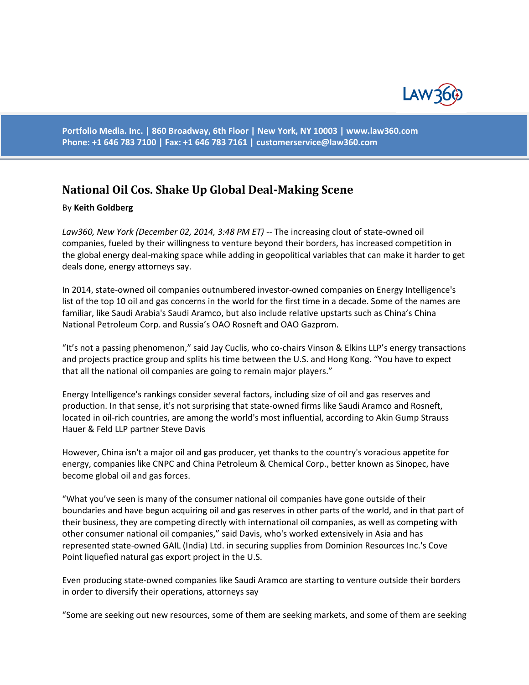

**Portfolio Media. Inc. | 860 Broadway, 6th Floor | New York, NY 10003 | www.law360.com Phone: +1 646 783 7100 | Fax: +1 646 783 7161 | [customerservice@law360.com](mailto:customerservice@law360.com)**

## **National Oil Cos. Shake Up Global Deal-Making Scene**

## By **Keith Goldberg**

*Law360, New York (December 02, 2014, 3:48 PM ET)* -- The increasing clout of state-owned oil companies, fueled by their willingness to venture beyond their borders, has increased competition in the global energy deal-making space while adding in geopolitical variables that can make it harder to get deals done, energy attorneys say.

In 2014, state-owned oil companies outnumbered investor-owned companies on Energy Intelligence's list of the top 10 oil and gas concerns in the world for the first time in a decade. Some of the names are familiar, like Saudi Arabia's Saudi Aramco, but also include relative upstarts such as China's China National Petroleum Corp. and Russia's OAO Rosneft and OAO Gazprom.

"It's not a passing phenomenon," said Jay Cuclis, who co-chairs Vinson & Elkins LLP's energy transactions and projects practice group and splits his time between the U.S. and Hong Kong. "You have to expect that all the national oil companies are going to remain major players."

Energy Intelligence's rankings consider several factors, including size of oil and gas reserves and production. In that sense, it's not surprising that state-owned firms like Saudi Aramco and Rosneft, located in oil-rich countries, are among the world's most influential, according to Akin Gump Strauss Hauer & Feld LLP partner Steve Davis

However, China isn't a major oil and gas producer, yet thanks to the country's voracious appetite for energy, companies like CNPC and China Petroleum & Chemical Corp., better known as Sinopec, have become global oil and gas forces.

"What you've seen is many of the consumer national oil companies have gone outside of their boundaries and have begun acquiring oil and gas reserves in other parts of the world, and in that part of their business, they are competing directly with international oil companies, as well as competing with other consumer national oil companies," said Davis, who's worked extensively in Asia and has represented state-owned GAIL (India) Ltd. in securing supplies from Dominion Resources Inc.'s Cove Point liquefied natural gas export project in the U.S.

Even producing state-owned companies like Saudi Aramco are starting to venture outside their borders in order to diversify their operations, attorneys say

"Some are seeking out new resources, some of them are seeking markets, and some of them are seeking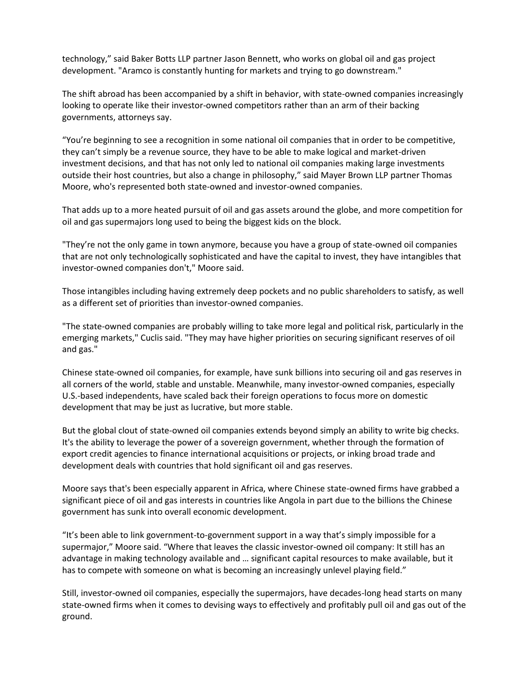technology," said Baker Botts LLP partner Jason Bennett, who works on global oil and gas project development. "Aramco is constantly hunting for markets and trying to go downstream."

The shift abroad has been accompanied by a shift in behavior, with state-owned companies increasingly looking to operate like their investor-owned competitors rather than an arm of their backing governments, attorneys say.

"You're beginning to see a recognition in some national oil companies that in order to be competitive, they can't simply be a revenue source, they have to be able to make logical and market-driven investment decisions, and that has not only led to national oil companies making large investments outside their host countries, but also a change in philosophy," said Mayer Brown LLP partner Thomas Moore, who's represented both state-owned and investor-owned companies.

That adds up to a more heated pursuit of oil and gas assets around the globe, and more competition for oil and gas supermajors long used to being the biggest kids on the block.

"They're not the only game in town anymore, because you have a group of state-owned oil companies that are not only technologically sophisticated and have the capital to invest, they have intangibles that investor-owned companies don't," Moore said.

Those intangibles including having extremely deep pockets and no public shareholders to satisfy, as well as a different set of priorities than investor-owned companies.

"The state-owned companies are probably willing to take more legal and political risk, particularly in the emerging markets," Cuclis said. "They may have higher priorities on securing significant reserves of oil and gas."

Chinese state-owned oil companies, for example, have sunk billions into securing oil and gas reserves in all corners of the world, stable and unstable. Meanwhile, many investor-owned companies, especially U.S.-based independents, have scaled back their foreign operations to focus more on domestic development that may be just as lucrative, but more stable.

But the global clout of state-owned oil companies extends beyond simply an ability to write big checks. It's the ability to leverage the power of a sovereign government, whether through the formation of export credit agencies to finance international acquisitions or projects, or inking broad trade and development deals with countries that hold significant oil and gas reserves.

Moore says that's been especially apparent in Africa, where Chinese state-owned firms have grabbed a significant piece of oil and gas interests in countries like Angola in part due to the billions the Chinese government has sunk into overall economic development.

"It's been able to link government-to-government support in a way that's simply impossible for a supermajor," Moore said. "Where that leaves the classic investor-owned oil company: It still has an advantage in making technology available and … significant capital resources to make available, but it has to compete with someone on what is becoming an increasingly unlevel playing field."

Still, investor-owned oil companies, especially the supermajors, have decades-long head starts on many state-owned firms when it comes to devising ways to effectively and profitably pull oil and gas out of the ground.